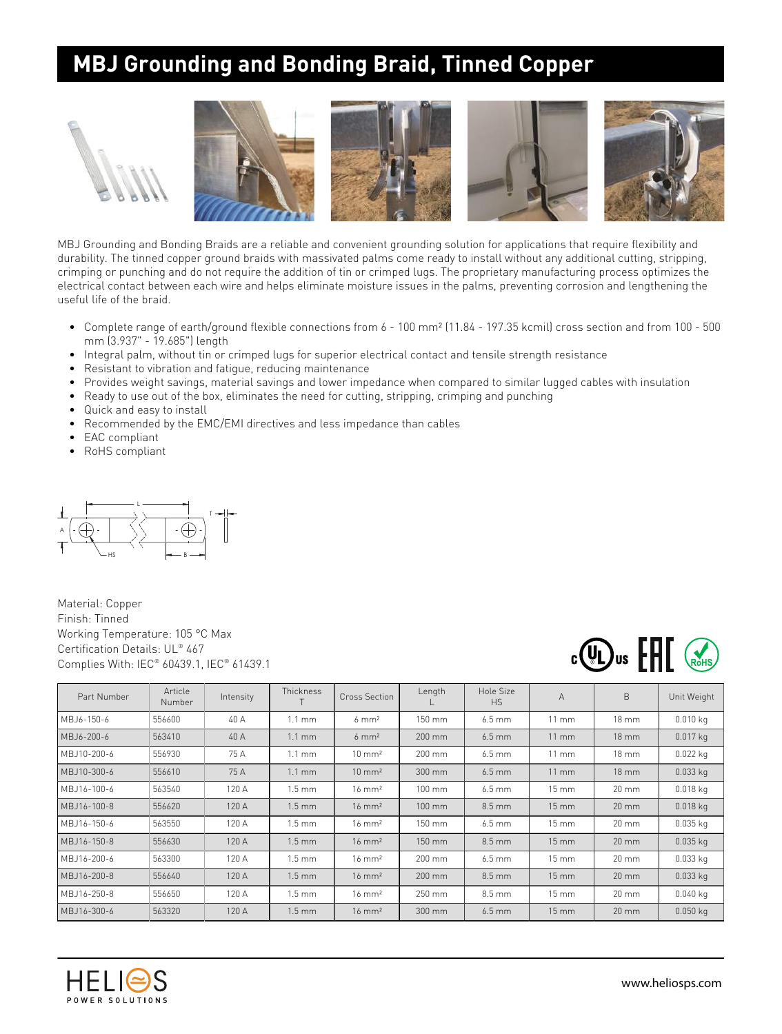## **MBJ Grounding and Bonding Braid, Tinned Copper**





MBJ Grounding and Bonding Braids are a reliable and convenient grounding solution for applications that require flexibility and durability. The tinned copper ground braids with massivated palms come ready to install without any additional cutting, stripping, crimping or punching and do not require the addition of tin or crimped lugs. The proprietary manufacturing process optimizes the electrical contact between each wire and helps eliminate moisture issues in the palms, preventing corrosion and lengthening the useful life of the braid.

- Complete range of earth/ground flexible connections from 6 100 mm² (11.84 197.35 kcmil) cross section and from 100 500 mm (3.937" - 19.685") length
- Integral palm, without tin or crimped lugs for superior electrical contact and tensile strength resistance
- Resistant to vibration and fatigue, reducing maintenance
- Provides weight savings, material savings and lower impedance when compared to similar lugged cables with insulation
- Ready to use out of the box, eliminates the need for cutting, stripping, crimping and punching
- Quick and easy to install
- Recommended by the EMC/EMI directives and less impedance than cables
- EAC compliant
- RoHS compliant



Material: Copper Finish: Tinned Working Temperature: 105 °C Max Certification Details: UL® 467 Complies With: IEC® 60439.1, IEC® 61439.1



| Part Number  | Article<br>Number | Intensity | Thickness        | Cross Section     | Length           | Hole Size<br><b>HS</b> | $\overline{A}$      | B                 | Unit Weight |
|--------------|-------------------|-----------|------------------|-------------------|------------------|------------------------|---------------------|-------------------|-------------|
| MBJ6-150-6   | 556600            | 40 A      | $1.1 \text{ mm}$ | $6 \text{ mm}^2$  | 150 mm           | $6.5 \text{ mm}$       | $11 \text{ mm}$     | $18 \text{ mm}$   | $0.010$ kg  |
| MBJ6-200-6   | 563410            | 40 A      | $1.1 \text{ mm}$ | $6 \text{ mm}^2$  | 200 mm           | $6.5$ mm               | $11 \text{ mm}$     | $18 \, \text{mm}$ | $0.017$ kg  |
| MB.J10-200-6 | 556930            | 75 A      | $1.1 \text{ mm}$ | $10 \text{ mm}^2$ | 200 mm           | $6.5$ mm               | $11 \text{ mm}$     | $18 \text{ mm}$   | $0.022$ kg  |
| MBJ10-300-6  | 556610            | 75 A      | $1.1 \text{ mm}$ | $10 \text{ mm}^2$ | 300 mm           | $6.5$ mm               | $11 \text{ mm}$     | $18 \text{ mm}$   | $0.033$ kg  |
| MBJ16-100-6  | 563540            | 120 A     | $1.5 \text{ mm}$ | $16 \text{ mm}^2$ | $100 \text{ mm}$ | $6.5 \text{ mm}$       | $15 \, \text{mm}$   | $20 \text{ mm}$   | $0.018$ kg  |
| MBJ16-100-8  | 556620            | 120 A     | $1.5 \text{ mm}$ | $16 \text{ mm}^2$ | $100 \text{ mm}$ | $8.5 \text{ mm}$       | $15 \, \text{mm}$   | $20 \text{ mm}$   | $0.018$ kg  |
| MBJ16-150-6  | 563550            | 120 A     | $1.5 \text{ mm}$ | $16 \text{ mm}^2$ | 150 mm           | $6.5$ mm               | $15 \, \text{mm}$   | $20 \, \text{mm}$ | $0.035$ kg  |
| MBJ16-150-8  | 556630            | 120 A     | $1.5 \text{ mm}$ | $16 \text{ mm}^2$ | 150 mm           | $8.5 \text{ mm}$       | $15 \, \mathrm{mm}$ | $20 \text{ mm}$   | $0.035$ kg  |
| MBJ16-200-6  | 563300            | 120 A     | $1.5 \text{ mm}$ | $16 \text{ mm}^2$ | 200 mm           | $6.5$ mm               | $15 \, \mathrm{mm}$ | $20 \text{ mm}$   | $0.033$ kg  |
| MBJ16-200-8  | 556640            | 120 A     | $1.5 \text{ mm}$ | $16 \text{ mm}^2$ | 200 mm           | $8.5 \text{ mm}$       | $15 \, \text{mm}$   | $20 \, \text{mm}$ | $0.033$ kg  |
| MBJ16-250-8  | 556650            | 120 A     | $1.5 \text{ mm}$ | $16 \text{ mm}^2$ | 250 mm           | $8.5 \text{ mm}$       | $15 \, \text{mm}$   | $20 \text{ mm}$   | $0.040$ kg  |
| MBJ16-300-6  | 563320            | 120 A     | $1.5 \text{ mm}$ | $16 \text{ mm}^2$ | 300 mm           | $6.5$ mm               | $15 \, \text{mm}$   | $20 \text{ mm}$   | $0.050$ kg  |

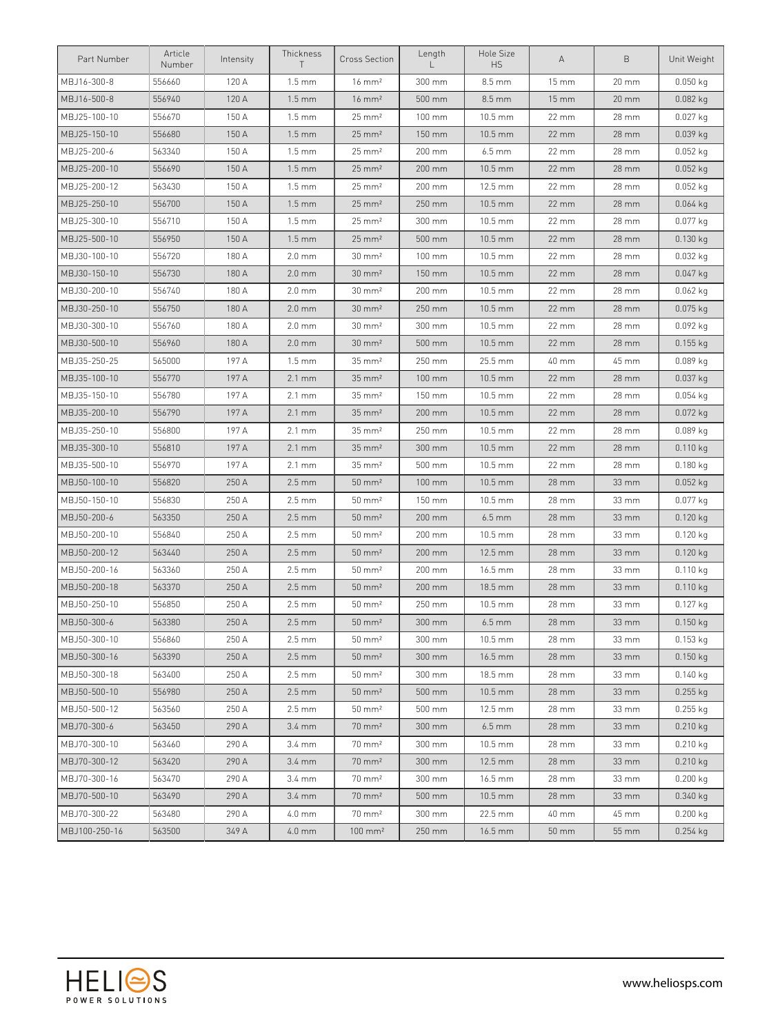| Part Number   | Article<br>Number | Intensity | Thickness<br>$\top$ | <b>Cross Section</b> | Length | Hole Size<br><b>HS</b> | А                 | B                 | Unit Weight |
|---------------|-------------------|-----------|---------------------|----------------------|--------|------------------------|-------------------|-------------------|-------------|
| MBJ16-300-8   | 556660            | 120 A     | $1.5 \text{ mm}$    | $16 \text{ mm}^2$    | 300 mm | $8.5 \text{ mm}$       | 15 mm             | 20 mm             | $0.050$ kg  |
| MBJ16-500-8   | 556940            | 120 A     | $1.5 \text{ mm}$    | $16 \text{ mm}^2$    | 500 mm | 8.5 mm                 | $15 \, \text{mm}$ | 20 mm             | $0.082$ kg  |
| MBJ25-100-10  | 556670            | 150 A     | $1.5 \text{ mm}$    | $25 \, \text{mm}^2$  | 100 mm | 10.5 mm                | 22 mm             | 28 mm             | 0.027 kg    |
| MBJ25-150-10  | 556680            | 150 A     | $1.5 \text{ mm}$    | $25 \text{ mm}^2$    | 150 mm | $10.5 \text{ mm}$      | 22 mm             | 28 mm             | 0.039 kg    |
| MBJ25-200-6   | 563340            | 150 A     | $1.5 \text{ mm}$    | $25 \text{ mm}^2$    | 200 mm | $6.5$ mm               | 22 mm             | 28 mm             | $0.052$ kg  |
| MBJ25-200-10  | 556690            | 150 A     | $1.5 \text{ mm}$    | $25 \text{ mm}^2$    | 200 mm | 10.5 mm                | 22 mm             | 28 mm             | $0.052$ kg  |
| MBJ25-200-12  | 563430            | 150 A     | $1.5 \text{ mm}$    | $25 \text{ mm}^2$    | 200 mm | 12.5 mm                | 22 mm             | 28 mm             | $0.052$ kg  |
| MBJ25-250-10  | 556700            | 150 A     | $1.5 \text{ mm}$    | $25 \text{ mm}^2$    | 250 mm | 10.5 mm                | 22 mm             | 28 mm             | $0.064$ kg  |
| MBJ25-300-10  | 556710            | 150 A     | $1.5 \text{ mm}$    | $25 \, \text{mm}^2$  | 300 mm | 10.5 mm                | 22 mm             | 28 mm             | 0.077 kg    |
| MBJ25-500-10  | 556950            | 150 A     | $1.5 \text{ mm}$    | $25 \text{ mm}^2$    | 500 mm | 10.5 mm                | 22 mm             | 28 mm             | $0.130$ kg  |
| MBJ30-100-10  | 556720            | 180 A     | $2.0 \text{ mm}$    | $30 \text{ mm}^2$    | 100 mm | 10.5 mm                | 22 mm             | 28 mm             | $0.032$ kg  |
| MBJ30-150-10  | 556730            | 180 A     | $2.0 \text{ mm}$    | $30 \text{ mm}^2$    | 150 mm | 10.5 mm                | 22 mm             | 28 mm             | $0.047$ kg  |
| MBJ30-200-10  | 556740            | 180 A     | $2.0 \text{ mm}$    | $30 \, \text{mm}^2$  | 200 mm | 10.5 mm                | 22 mm             | 28 mm             | $0.062$ kg  |
| MBJ30-250-10  | 556750            | 180 A     | $2.0 \text{ mm}$    | $30 \text{ mm}^2$    | 250 mm | 10.5 mm                | 22 mm             | 28 mm             | $0.075$ kg  |
| MBJ30-300-10  | 556760            | 180 A     | $2.0 \text{ mm}$    | $30 \, \text{mm}^2$  | 300 mm | 10.5 mm                | 22 mm             | 28 mm             | 0.092 kg    |
| MBJ30-500-10  | 556960            | 180 A     | $2.0 \text{ mm}$    | $30 \text{ mm}^2$    | 500 mm | 10.5 mm                | 22 mm             | 28 mm             | $0.155$ kg  |
| MBJ35-250-25  | 565000            | 197 A     | $1.5 \text{ mm}$    | $35 \text{ mm}^2$    | 250 mm | 25.5 mm                | 40 mm             | 45 mm             | 0.089 kg    |
| MBJ35-100-10  | 556770            | 197 A     | $2.1 \text{ mm}$    | $35 \text{ mm}^2$    | 100 mm | 10.5 mm                | $22 \, \text{mm}$ | 28 mm             | $0.037$ kg  |
| MBJ35-150-10  | 556780            | 197 A     | $2.1 \text{ mm}$    | $35 \text{ mm}^2$    | 150 mm | 10.5 mm                | 22 mm             | 28 mm             | $0.054$ kg  |
| MBJ35-200-10  | 556790            | 197 A     | $2.1 \text{ mm}$    | $35 \text{ mm}^2$    | 200 mm | 10.5 mm                | 22 mm             | 28 mm             | $0.072$ kg  |
| MBJ35-250-10  | 556800            | 197 A     | $2.1 \text{ mm}$    | $35 \, \text{mm}^2$  | 250 mm | 10.5 mm                | 22 mm             | 28 mm             | $0.089$ kg  |
| MBJ35-300-10  | 556810            | 197 A     | $2.1 \text{ mm}$    | $35 \text{ mm}^2$    | 300 mm | 10.5 mm                | 22 mm             | 28 mm             | $0.110$ kg  |
| MBJ35-500-10  | 556970            | 197 A     | $2.1 \text{ mm}$    | $35 \text{ mm}^2$    | 500 mm | 10.5 mm                | 22 mm             | 28 mm             | $0.180$ kg  |
| MBJ50-100-10  | 556820            | 250 A     | $2.5 \text{ mm}$    | $50 \text{ mm}^2$    | 100 mm | 10.5 mm                | 28 mm             | 33 mm             | $0.052$ kg  |
| MBJ50-150-10  | 556830            | 250 A     | $2.5 \text{ mm}$    | $50 \, \text{mm}^2$  | 150 mm | 10.5 mm                | 28 mm             | 33 mm             | $0.077$ kg  |
| MBJ50-200-6   | 563350            | 250 A     | $2.5 \text{ mm}$    | $50 \text{ mm}^2$    | 200 mm | $6.5 \text{ mm}$       | 28 mm             | 33 mm             | $0.120$ kg  |
| MBJ50-200-10  | 556840            | 250 A     | $2.5 \text{ mm}$    | $50 \text{ mm}^2$    | 200 mm | 10.5 mm                | 28 mm             | 33 mm             | $0.120$ kg  |
| MBJ50-200-12  | 563440            | 250 A     | $2.5 \text{ mm}$    | $50 \text{ mm}^2$    | 200 mm | 12.5 mm                | 28 mm             | 33 mm             | $0.120$ kg  |
| MBJ50-200-16  | 563360            | 250 A     | $2.5 \text{ mm}$    | $50 \, \text{mm}^2$  | 200 mm | 16.5 mm                | 28 mm             | 33 mm             | $0.110$ kg  |
| MBJ50-200-18  | 563370            | 250 A     | $2.5 \text{ mm}$    | $50 \text{ mm}^2$    | 200 mm | 18.5 mm                | 28 mm             | 33 mm             | $0.110$ kg  |
| MBJ50-250-10  | 556850            | 250 A     | $2.5 \text{ mm}$    | $50 \, \text{mm}^2$  | 250 mm | 10.5 mm                | 28 mm             | 33 mm             | 0.127 kg    |
| MBJ50-300-6   | 563380            | 250 A     | $2.5 \, \text{mm}$  | $50 \text{ mm}^2$    | 300 mm | $6.5 \, \text{mm}$     | 28 mm             | $33 \, \text{mm}$ | $0.150$ kg  |
| MBJ50-300-10  | 556860            | 250 A     | $2.5 \text{ mm}$    | $50 \text{ mm}^2$    | 300 mm | $10.5 \text{ mm}$      | 28 mm             | 33 mm             | $0.153$ kg  |
| MBJ50-300-16  | 563390            | 250 A     | $2.5 \text{ mm}$    | $50 \text{ mm}^2$    | 300 mm | 16.5 mm                | 28 mm             | 33 mm             | $0.150$ kg  |
| MBJ50-300-18  | 563400            | 250 A     | $2.5 \text{ mm}$    | $50 \, \text{mm}^2$  | 300 mm | 18.5 mm                | 28 mm             | 33 mm             | $0.140$ kg  |
| MBJ50-500-10  | 556980            | 250 A     | $2.5 \text{ mm}$    | $50 \text{ mm}^2$    | 500 mm | $10.5$ mm              | 28 mm             | $33 \, \text{mm}$ | $0.255$ kg  |
| MBJ50-500-12  | 563560            | 250 A     | $2.5 \text{ mm}$    | $50 \text{ mm}^2$    | 500 mm | 12.5 mm                | 28 mm             | 33 mm             | $0.255$ kg  |
| MBJ70-300-6   | 563450            | 290 A     | $3.4 \text{ mm}$    | $70 \text{ mm}^2$    | 300 mm | $6.5$ mm               | 28 mm             | 33 mm             | $0.210$ kg  |
| MBJ70-300-10  | 563460            | 290 A     | 3.4 mm              | $70 \text{ mm}^2$    | 300 mm | 10.5 mm                | 28 mm             | 33 mm             | $0.210$ kg  |
| MBJ70-300-12  | 563420            | 290 A     | $3.4 \text{ mm}$    | $70 \text{ mm}^2$    | 300 mm | 12.5 mm                | 28 mm             | $33 \, \text{mm}$ | $0.210$ kg  |
| MBJ70-300-16  | 563470            | 290 A     | $3.4 \text{ mm}$    | $70 \text{ mm}^2$    | 300 mm | 16.5 mm                | 28 mm             | 33 mm             | $0.200$ kg  |
| MBJ70-500-10  | 563490            | 290 A     | $3.4 \text{ mm}$    | $70 \text{ mm}^2$    | 500 mm | $10.5$ mm              | 28 mm             | 33 mm             | $0.340$ kg  |
| MBJ70-300-22  | 563480            | 290 A     | $4.0 \text{ mm}$    | $70 \text{ mm}^2$    | 300 mm | 22.5 mm                | 40 mm             | 45 mm             | $0.200$ kg  |
| MBJ100-250-16 | 563500            | 349 A     | $4.0$ mm            | $100 \text{ mm}^2$   | 250 mm | $16.5 \text{ mm}$      | $50 \text{ mm}$   | 55 mm             | $0.254$ kg  |